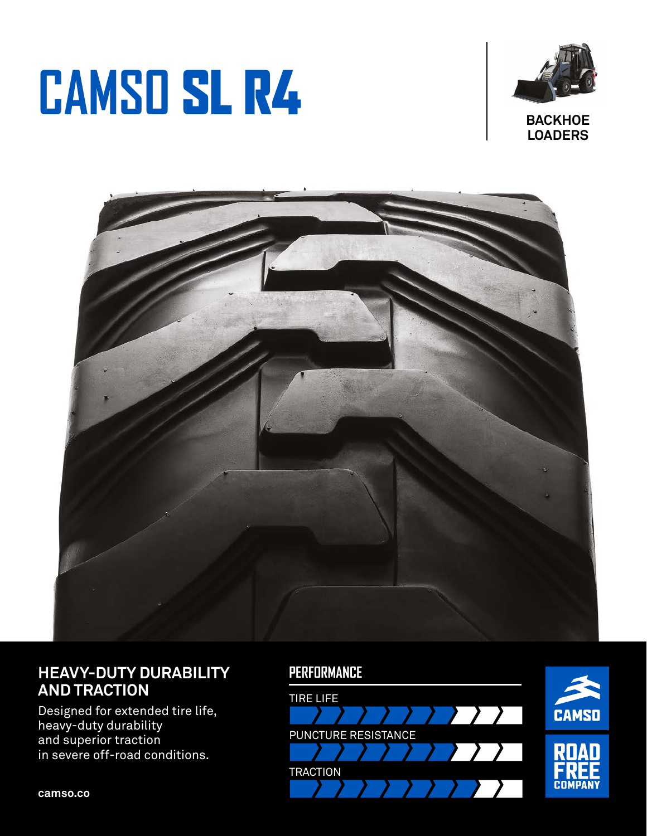# **CAMSO** SL R4





## **HEAVY-DUTY DURABILITY AND TRACTION**

Designed for extended tire life, heavy-duty durability and superior traction in severe off-road conditions.

### **PERFORMANCE**



**camso.co**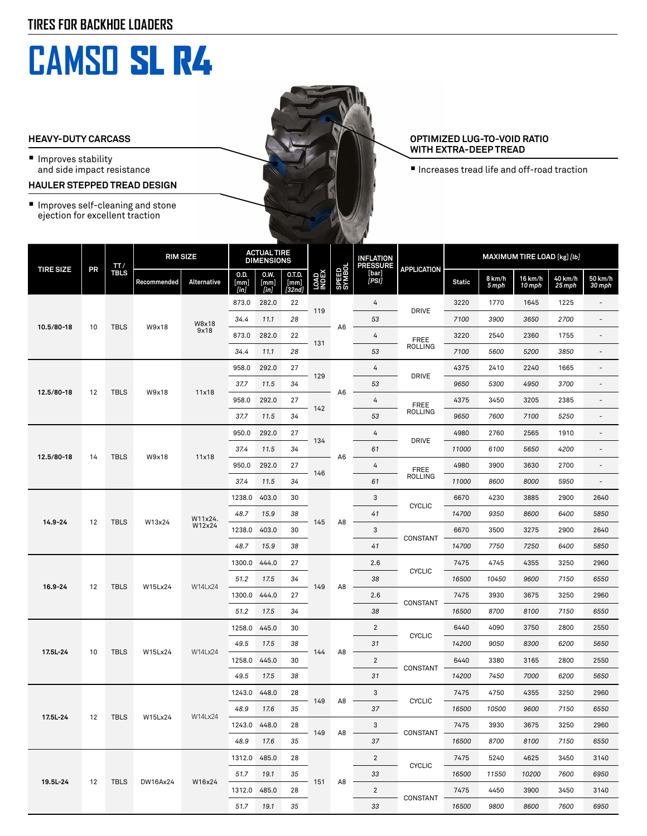# **CAMSO** SL R4

#### **HEAVY-DUTY CARCASS**

- Improves stability and side impact resistance
- **HAULER STEPPED TREAD DESIGN**
- Improves self-cleaning and stone ejection for excellent traction

#### **OPTIMIZED LUG-TO-VOID RATIO WITH EXTRA-DEEP TREAD**

■ Increases tread life and off-road traction

| <b>TIRE SIZE</b> | PR | TT/<br><b>TBLS</b> | <b>RIM SIZE</b> |                   | <b>ACTUAL TIRE</b><br><b>DIMENSIONS</b> |                      |                          |                     | AN IS           | <b>INFLATION</b><br><b>PRESSURE</b> |                             | MAXIMUM TIRE LOAD [kg] [lb] |                 |                   |                   |                          |
|------------------|----|--------------------|-----------------|-------------------|-----------------------------------------|----------------------|--------------------------|---------------------|-----------------|-------------------------------------|-----------------------------|-----------------------------|-----------------|-------------------|-------------------|--------------------------|
|                  |    |                    | Recommended     | Alternative       | 0.D.<br>[mm]<br>[in]                    | 0.W.<br>[mm]<br>[in] | 0.T.D.<br>[mm]<br>[32nd] | <b>LOAD</b><br>NDEX | SPEED<br>SYMBOL | [bar]<br>[PSI]                      | <b>APPLICATION</b>          | <b>Static</b>               | 8 km/h<br>5 mph | 16 km/h<br>10 mph | 40 km/h<br>25 mph | 50 km/h<br>30 mph        |
| 10.5/80-18       |    |                    | W9x18           | W8x18<br>9x18     | 873.0                                   | 282.0                | 22                       |                     | A6              | 4                                   | <b>DRIVE</b>                | 3220                        | 1770            | 1645              | 1225              | $\overline{a}$           |
|                  | 10 | <b>TBLS</b>        |                 |                   | 34.4                                    | 11.1                 | 28                       | 119                 |                 | 53                                  |                             | 7100                        | 3900            | 3650              | 2700              | $\overline{a}$           |
|                  |    |                    |                 |                   | 873.0                                   | 282.0                | 22                       |                     |                 | 4                                   | <b>FREE</b><br>ROLLING      | 3220                        | 2540            | 2360              | 1755              | $\overline{a}$           |
|                  |    |                    |                 |                   | 34.4                                    | 11.1                 | 28                       | 131                 |                 | 53                                  |                             | 7100                        | 5600            | 5200              | 3850              | $\overline{a}$           |
| 12.5/80-18       | 12 | <b>TBLS</b>        | W9x18           | 11x18             | 958.0                                   | 292.0                | 27                       | 129                 | A6              | 4                                   | <b>DRIVE</b>                | 4375                        | 2410            | 2240              | 1665              | $\overline{\phantom{a}}$ |
|                  |    |                    |                 |                   | 37.7                                    | 11.5                 | 34                       |                     |                 | 53                                  |                             | 9650                        | 5300            | 4950              | 3700              | ٠                        |
|                  |    |                    |                 |                   | 958.0                                   | 292.0                | 27                       | 142                 |                 | 4                                   | <b>FREE</b><br>ROLLING      | 4375                        | 3450            | 3205              | 2385              |                          |
|                  |    |                    |                 |                   | 37.7                                    | 11.5                 | 34                       |                     |                 | 53                                  |                             | 9650                        | 7600            | 7100              | 5250              | ÷,                       |
| 12.5/80-18       | 14 | <b>TBLS</b>        | W9x18           | 11x18             | 950.0                                   | 292.0                | 27                       | 134<br>146          | A6              | 4                                   | <b>DRIVE</b>                | 4980                        | 2760            | 2565              | 1910              | $\overline{a}$           |
|                  |    |                    |                 |                   | 37.4                                    | 11.5                 | 34                       |                     |                 | 61                                  |                             | 11000                       | 6100            | 5650              | 4200              | $\overline{a}$           |
|                  |    |                    |                 |                   | 950.0                                   | 292.0                | 27                       |                     |                 | 4                                   | <b>FREE</b><br>ROLLING      | 4980                        | 3900            | 3630              | 2700              | $\overline{a}$           |
|                  |    |                    |                 |                   | 37.4                                    | 11.5                 | 34                       |                     |                 | 61                                  |                             | 11000                       | 8600            | 8000              | 5950              | $\overline{a}$           |
| 14.9-24          | 12 | <b>TBLS</b>        | W13x24          | W11x24.<br>W12x24 | 1238.0                                  | 403.0                | 30                       | 145                 | A8              | 3                                   | <b>CYCLIC</b>               | 6670                        | 4230            | 3885              | 2900              | 2640                     |
|                  |    |                    |                 |                   | 48.7                                    | 15.9                 | 38                       |                     |                 | 41                                  |                             | 14700                       | 9350            | 8600              | 6400              | 5850                     |
|                  |    |                    |                 |                   | 1238.0                                  | 403.0                | 30                       |                     |                 | 3                                   | CONSTANT                    | 6670                        | 3500            | 3275              | 2900              | 2640                     |
|                  |    |                    |                 |                   | 48.7                                    | 15.9                 | 38                       |                     |                 | 41                                  |                             | 14700                       | 7750            | 7250              | 6400              | 5850                     |
|                  | 12 | <b>TBLS</b>        | W15Lx24         | W14Lx24           | 1300.0                                  | 444.0                | 27                       | 149                 | A8              | 2.6                                 | <b>CYCLIC</b><br>CONSTANT   | 7475                        | 4745            | 4355              | 3250              | 2960                     |
| 16.9-24          |    |                    |                 |                   | 51.2                                    | 17.5                 | 34                       |                     |                 | 38                                  |                             | 16500                       | 10450           | 9600              | 7150              | 6550                     |
|                  |    |                    |                 |                   | 1300.0                                  | 444.0                | 27                       |                     |                 | 2.6                                 |                             | 7475                        | 3930            | 3675              | 3250              | 2960                     |
|                  |    |                    |                 |                   | 51.2                                    | 17.5                 | 34                       |                     |                 | 38                                  |                             | 16500                       | 8700            | 8100              | 7150              | 6550                     |
| 17.5L-24         |    |                    | W15Lx24         | W14Lx24           | 1258.0                                  | 445.0                | 30                       | 144                 | A8              | 2                                   | <b>CYCLIC</b>               | 6440                        | 4090            | 3750              | 2800              | 2550                     |
|                  | 10 | <b>TBLS</b>        |                 |                   | 49.5                                    | 17.5                 | 38                       |                     |                 | 31                                  |                             | 14200                       | 9050            | 8300              | 6200              | 5650                     |
|                  |    |                    |                 |                   | 1258.0                                  | 445.0                | 30                       |                     |                 | $\overline{c}$                      | CONSTANT                    | 6440                        | 3380            | 3165              | 2800              | 2550                     |
|                  |    |                    |                 |                   | 49.5                                    | 17.5                 | 38                       |                     |                 | 31                                  |                             | 14200                       | 7450            | 7000              | 6200              | 5650                     |
| 17.5L-24         | 12 | <b>TBLS</b>        | W15Lx24         | W14Lx24           | 1243.0                                  | 448.0                | 28                       | 149                 | A8<br>A8        | 3                                   | <b>CYCLIC</b><br>- CONSTANT | 7475                        | 4750            | 4355              | 3250              | 2960                     |
|                  |    |                    |                 |                   | 48.9                                    | 17.6                 | 35                       |                     |                 | 37                                  |                             | 16500                       | 10500           | 9600              | 7150              | 6550                     |
|                  |    |                    |                 |                   | 1243.0 448.0                            |                      | 28                       | 149                 |                 | 3                                   |                             | 7475                        | 3930            | 3675              | 3250              | 2960                     |
|                  |    |                    |                 |                   | 48.9                                    | 17.6                 | 35                       |                     |                 | 37                                  |                             | 16500                       | 8700            | 8100              | 7150              | 6550                     |
| 19.5L-24         | 12 | TBLS               | DW16Ax24        | W16x24            | 1312.0                                  | 485.0                | 28                       | 151                 | A8              | $\overline{2}$                      | <b>CYCLIC</b><br>CONSTANT   | 7475                        | 5240            | 4625              | 3450              | 3140                     |
|                  |    |                    |                 |                   | 51.7                                    | 19.1                 | 35                       |                     |                 | 33                                  |                             | 16500                       | 11550           | 10200             | 7600              | 6950                     |
|                  |    |                    |                 |                   | 1312.0 485.0                            |                      | 28                       |                     |                 | $\overline{2}$                      |                             | 7475                        | 4450            | 3900              | 3450              | 3140                     |
|                  |    |                    |                 |                   | 51.7                                    | 19.1                 | 35                       |                     |                 | 33                                  |                             | 16500                       | 9800            | 8600              | 7600              | 6950                     |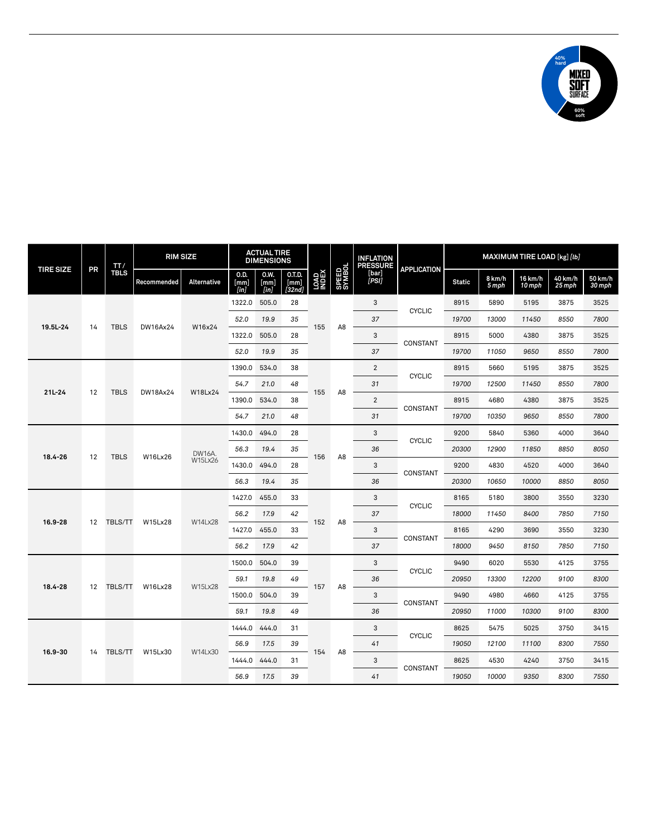

| <b>TIRE SIZE</b> | PR                | TT/<br><b>TBLS</b> | <b>RIM SIZE</b> |                          | <b>ACTUAL TIRE</b><br><b>DIMENSIONS</b> |                         |                          |              |                 | <b>INFLATION</b><br><b>PRESSURE</b> |                    | MAXIMUM TIRE LOAD [kg] [lb] |                 |                   |                   |                   |
|------------------|-------------------|--------------------|-----------------|--------------------------|-----------------------------------------|-------------------------|--------------------------|--------------|-----------------|-------------------------------------|--------------------|-----------------------------|-----------------|-------------------|-------------------|-------------------|
|                  |                   |                    | Recommended     | Alternative              | 0.D.<br>[mm]<br>[in]                    | 0.W.<br>[mm]<br>$[$ in] | 0.T.D.<br>[mm]<br>[32nd] | LOAD<br>NDEX | SPEED<br>SYMBOL | [bar]<br>[PSI]                      | <b>APPLICATION</b> | <b>Static</b>               | 8 km/h<br>5 mph | 16 km/h<br>10 mph | 40 km/h<br>25 mph | 50 km/h<br>30 mph |
| 19.5L-24         |                   | <b>TBLS</b>        | DW16Ax24        | W16x24                   | 1322.0                                  | 505.0                   | 28                       |              | A <sub>8</sub>  | 3                                   | <b>CYCLIC</b>      | 8915                        | 5890            | 5195              | 3875              | 3525              |
|                  | 14                |                    |                 |                          | 52.0                                    | 19.9                    | 35                       | 155          |                 | 37                                  |                    | 19700                       | 13000           | 11450             | 8550              | 7800              |
|                  |                   |                    |                 |                          | 1322.0                                  | 505.0                   | 28                       |              |                 | 3                                   | CONSTANT           | 8915                        | 5000            | 4380              | 3875              | 3525              |
|                  |                   |                    |                 |                          | 52.0                                    | 19.9                    | 35                       |              |                 | 37                                  |                    | 19700                       | 11050           | 9650              | 8550              | 7800              |
| 21L-24           | 12                | <b>TBLS</b>        | DW18Ax24        | W18Lx24                  | 1390.0                                  | 534.0                   | 38                       | 155          | A8              | $\overline{2}$                      | <b>CYCLIC</b>      | 8915                        | 5660            | 5195              | 3875              | 3525              |
|                  |                   |                    |                 |                          | 54.7                                    | 21.0                    | 48                       |              |                 | 31                                  |                    | 19700                       | 12500           | 11450             | 8550              | 7800              |
|                  |                   |                    |                 |                          | 1390.0                                  | 534.0                   | 38                       |              |                 | 2                                   | CONSTANT           | 8915                        | 4680            | 4380              | 3875              | 3525              |
|                  |                   |                    |                 |                          | 54.7                                    | 21.0                    | 48                       |              |                 | 31                                  |                    | 19700                       | 10350           | 9650              | 8550              | 7800              |
| 18.4-26          | 12                | <b>TBLS</b>        | W16Lx26         | DW16A.<br><b>W15Lx26</b> | 1430.0                                  | 494.0                   | 28                       | 156          | A8              | 3                                   | <b>CYCLIC</b>      | 9200                        | 5840            | 5360              | 4000              | 3640              |
|                  |                   |                    |                 |                          | 56.3                                    | 19.4                    | 35                       |              |                 | 36                                  |                    | 20300                       | 12900           | 11850             | 8850              | 8050              |
|                  |                   |                    |                 |                          | 1430.0                                  | 494.0                   | 28                       |              |                 | 3                                   | CONSTANT           | 9200                        | 4830            | 4520              | 4000              | 3640              |
|                  |                   |                    |                 |                          | 56.3                                    | 19.4                    | 35                       |              |                 | 36                                  |                    | 20300                       | 10650           | 10000             | 8850              | 8050              |
| 16.9-28          | 12                | TBLS/TT            | W15Lx28         | W14Lx28                  | 1427.0                                  | 455.0                   | 33                       | 152          | A <sub>8</sub>  | 3                                   | <b>CYCLIC</b>      | 8165                        | 5180            | 3800              | 3550              | 3230              |
|                  |                   |                    |                 |                          | 56.2                                    | 17.9                    | 42                       |              |                 | 37                                  |                    | 18000                       | 11450           | 8400              | 7850              | 7150              |
|                  |                   |                    |                 |                          | 1427.0                                  | 455.0                   | 33                       |              |                 | 3                                   | CONSTANT           | 8165                        | 4290            | 3690              | 3550              | 3230              |
|                  |                   |                    |                 |                          | 56.2                                    | 17.9                    | 42                       |              |                 | 37                                  |                    | 18000                       | 9450            | 8150              | 7850              | 7150              |
| 18.4-28          | $12 \overline{ }$ | TBLS/TT            | W16Lx28         | <b>W15Lx28</b>           | 1500.0                                  | 504.0                   | 39                       | 157          | A8              | 3                                   | <b>CYCLIC</b>      | 9490                        | 6020            | 5530              | 4125              | 3755              |
|                  |                   |                    |                 |                          | 59.1                                    | 19.8                    | 49                       |              |                 | 36                                  |                    | 20950                       | 13300           | 12200             | 9100              | 8300              |
|                  |                   |                    |                 |                          | 1500.0                                  | 504.0                   | 39                       |              |                 | 3                                   | CONSTANT           | 9490                        | 4980            | 4660              | 4125              | 3755              |
|                  |                   |                    |                 |                          | 59.1                                    | 19.8                    | 49                       |              |                 | 36                                  |                    | 20950                       | 11000           | 10300             | 9100              | 8300              |
| 16.9-30          | 14                | TBLS/TT            | W15Lx30         | W14Lx30                  | 1444.0                                  | 444.0                   | 31                       | 154          | A <sub>8</sub>  | 3                                   | <b>CYCLIC</b>      | 8625                        | 5475            | 5025              | 3750              | 3415              |
|                  |                   |                    |                 |                          | 56.9                                    | 17.5                    | 39                       |              |                 | 41                                  |                    | 19050                       | 12100           | 11100             | 8300              | 7550              |
|                  |                   |                    |                 |                          | 1444.0                                  | 444.0                   | 31                       |              |                 | 3                                   | CONSTANT           | 8625                        | 4530            | 4240              | 3750              | 3415              |
|                  |                   |                    |                 |                          | 56.9                                    | 17.5                    | 39                       |              |                 | 41                                  |                    | 19050                       | 10000           | 9350              | 8300              | 7550              |